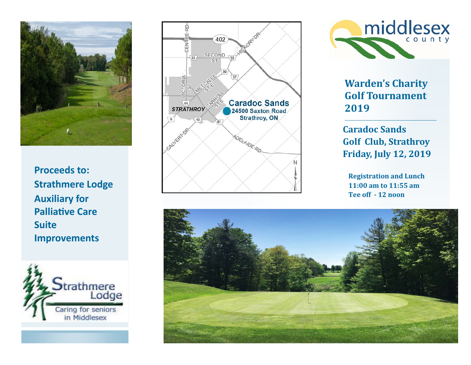

**Proceeds to: Strathmere Lodge Auxiliary for PalliaƟve Care Suite Improvements** 







**Warden's Charity Golf Tournament 2019**

**Caradoc Sands Golf Club, Strathroy Friday, July 12, 2019**

**Registration and Lunch 11:00 am to 11:55 am Tee off ‐ 12 noon**